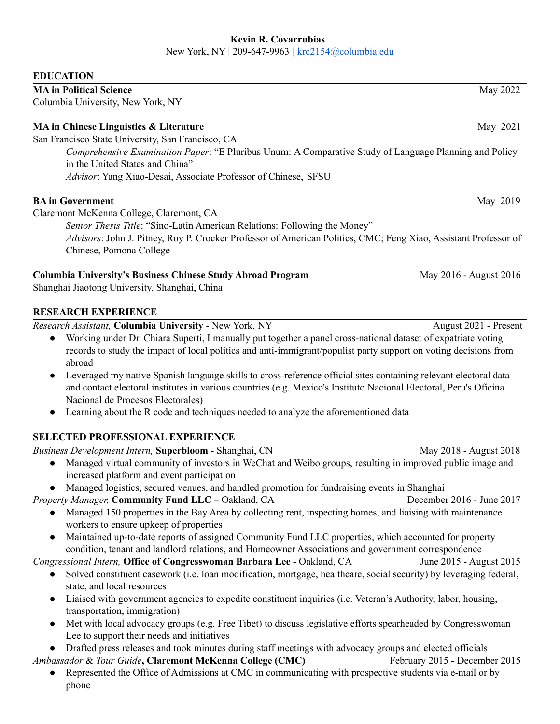#### **Kevin R. Covarrubias**

New York, NY | 209-647-9963 | [krc2154@columbia.edu](mailto:krc2154@columbia.edu)

#### **EDUCATION**

| <b>MA in Political Science</b>                                                                         | May 2022 |
|--------------------------------------------------------------------------------------------------------|----------|
| Columbia University, New York, NY                                                                      |          |
| MA in Chinese Linguistics & Literature                                                                 | May 2021 |
| San Francisco State University, San Francisco, CA                                                      |          |
| Comprehensive Examination Paper: "E Pluribus Unum: A Comparative Study of Language Planning and Policy |          |
| in the United States and China"                                                                        |          |
| Advisor: Yang Xiao-Desai, Associate Professor of Chinese, SFSU                                         |          |
|                                                                                                        |          |

### **BA** in Government May 2019

Claremont McKenna College, Claremont, CA

*Senior Thesis Title*: "Sino-Latin American Relations: Following the Money" *Advisors*: John J. Pitney, Roy P. Crocker Professor of American Politics, CMC; Feng Xiao, Assistant Professor of Chinese, Pomona College

### **Columbia University's Business Chinese Study Abroad Program** May 2016 - August 2016

Shanghai Jiaotong University, Shanghai, China

## **RESEARCH EXPERIENCE**

phone

*Research Assistant,* **Columbia University** - New York, NY August 2021 - Present

- Working under Dr. Chiara Superti, I manually put together a panel cross-national dataset of expatriate voting records to study the impact of local politics and anti-immigrant/populist party support on voting decisions from abroad
- Leveraged my native Spanish language skills to cross-reference official sites containing relevant electoral data and contact electoral institutes in various countries (e.g. Mexico's Instituto Nacional Electoral, Peru's Oficina Nacional de Procesos Electorales)
- Learning about the R code and techniques needed to analyze the aforementioned data

# **SELECTED PROFESSIONAL EXPERIENCE**

*Business Development Intern,* **Superbloom** - Shanghai, CN May 2018 - August 2018 ● Managed virtual community of investors in WeChat and Weibo groups, resulting in improved public image and increased platform and event participation ● Managed logistics, secured venues, and handled promotion for fundraising events in Shanghai *Property Manager,* **Community Fund LLC** – Oakland, CA December 2016 - June 2017 • Managed 150 properties in the Bay Area by collecting rent, inspecting homes, and liaising with maintenance workers to ensure upkeep of properties • Maintained up-to-date reports of assigned Community Fund LLC properties, which accounted for property condition, tenant and landlord relations, and Homeowner Associations and government correspondence *Congressional Intern,* **Office of Congresswoman Barbara Lee -** Oakland, CA June 2015 - August 2015 ● Solved constituent casework (i.e. loan modification, mortgage, healthcare, social security) by leveraging federal, state, and local resources ● Liaised with government agencies to expedite constituent inquiries (i.e. Veteran's Authority, labor, housing, transportation, immigration) ● Met with local advocacy groups (e.g. Free Tibet) to discuss legislative efforts spearheaded by Congresswoman Lee to support their needs and initiatives ● Drafted press releases and took minutes during staff meetings with advocacy groups and elected officials *Ambassador* & *Tour Guide***, Claremont McKenna College (CMC)** February 2015 - December 2015 ● Represented the Office of Admissions at CMC in communicating with prospective students via e-mail or by